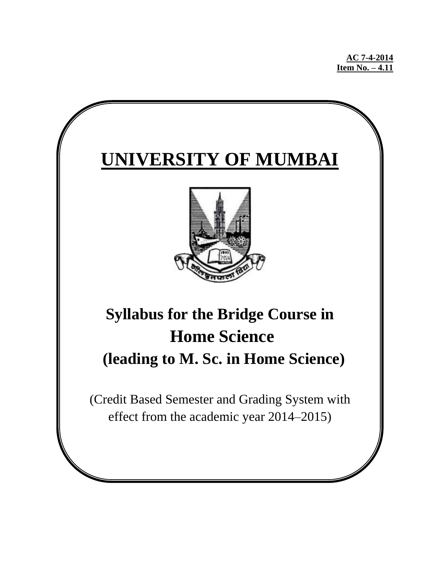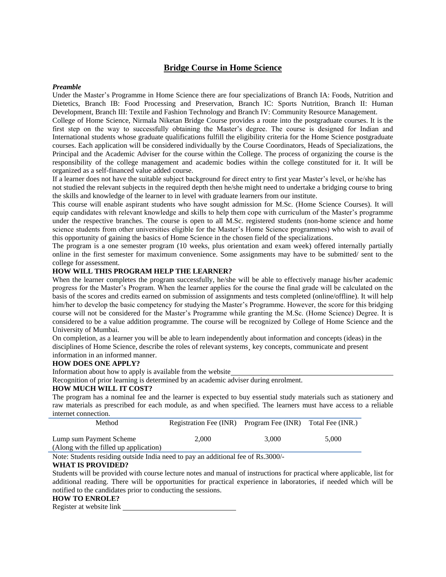# **Bridge Course in Home Science**

#### *Preamble*

Under the Master's Programme in Home Science there are four specializations of Branch IA: Foods, Nutrition and Dietetics, Branch IB: Food Processing and Preservation, Branch IC: Sports Nutrition, Branch II: Human Development, Branch III: Textile and Fashion Technology and Branch IV: Community Resource Management.

College of Home Science, Nirmala Niketan Bridge Course provides a route into the postgraduate courses. It is the first step on the way to successfully obtaining the Master's degree. The course is designed for Indian and International students whose graduate qualifications fulfill the eligibility criteria for the Home Science postgraduate courses. Each application will be considered individually by the Course Coordinators, Heads of Specializations, the Principal and the Academic Adviser for the course within the College. The process of organizing the course is the responsibility of the college management and academic bodies within the college constituted for it. It will be organized as a self-financed value added course.

If a learner does not have the suitable subject background for direct entry to first year Master's level, or he/she has not studied the relevant subjects in the required depth then he/she might need to undertake a bridging course to bring

the skills and knowledge of the learner to in level with graduate learners from our institute.

This course will enable aspirant students who have sought admission for M.Sc. (Home Science Courses). It will equip candidates with relevant knowledge and skills to help them cope with curriculum of the Master's programme under the respective branches. The course is open to all M.Sc. registered students (non-home science and home science students from other universities eligible for the Master's Home Science programmes) who wish to avail of this opportunity of gaining the basics of Home Science in the chosen field of the specializations.

The program is a one semester program (10 weeks, plus orientation and exam week) offered internally partially online in the first semester for maximum convenience. Some assignments may have to be submitted/ sent to the college for assessment.

# **HOW WILL THIS PROGRAM HELP THE LEARNER?**

When the learner completes the program successfully, he/she will be able to effectively manage his/her academic progress for the Master's Program. When the learner applies for the course the final grade will be calculated on the basis of the scores and credits earned on submission of assignments and tests completed (online/offline). It will help him/her to develop the basic competency for studying the Master's Programme. However, the score for this bridging course will not be considered for the Master's Programme while granting the M.Sc. (Home Science) Degree. It is considered to be a value addition programme. The course will be recognized by College of Home Science and the University of Mumbai.

On completion, as a learner you will be able to learn independently about information and concepts (ideas) in the disciplines of Home Science, describe the roles of relevant systems¸ key concepts, communicate and present information in an informed manner.

#### **HOW DOES ONE APPLY?**

Information about how to apply is available from the website

Recognition of prior learning is determined by an academic adviser during enrolment.

#### **HOW MUCH WILL IT COST?**

The program has a nominal fee and the learner is expected to buy essential study materials such as stationery and raw materials as prescribed for each module, as and when specified. The learners must have access to a reliable internet connection.

|                                                                   |       |       | Registration Fee (INR) Program Fee (INR) Total Fee (INR.) |
|-------------------------------------------------------------------|-------|-------|-----------------------------------------------------------|
| Lump sum Payment Scheme<br>(Along with the filled up application) | 2.000 | 3.000 | 5.000                                                     |

Note: Students residing outside India need to pay an additional fee of Rs.3000/-

#### **WHAT IS PROVIDED?**

Students will be provided with course lecture notes and manual of instructions for practical where applicable, list for additional reading. There will be opportunities for practical experience in laboratories, if needed which will be notified to the candidates prior to conducting the sessions.

### **HOW TO ENROLE?**

Register at website link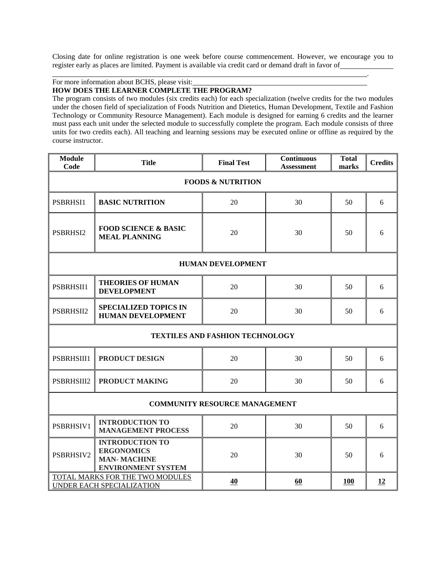Closing date for online registration is one week before course commencement. However, we encourage you to register early as places are limited. Payment is available via credit card or demand draft in favor of

.

For more information about BCHS, please visit:

### **HOW DOES THE LEARNER COMPLETE THE PROGRAM?**

The program consists of two modules (six credits each) for each specialization (twelve credits for the two modules under the chosen field of specialization of Foods Nutrition and Dietetics, Human Development, Textile and Fashion Technology or Community Resource Management). Each module is designed for earning 6 credits and the learner must pass each unit under the selected module to successfully complete the program. Each module consists of three units for two credits each). All teaching and learning sessions may be executed online or offline as required by the course instructor.

| <b>Module</b><br>Code                                               | <b>Title</b>                                                                                   | <b>Final Test</b>                      | <b>Continuous</b><br>Assessment | <b>Total</b><br>marks | <b>Credits</b> |  |
|---------------------------------------------------------------------|------------------------------------------------------------------------------------------------|----------------------------------------|---------------------------------|-----------------------|----------------|--|
|                                                                     | <b>FOODS &amp; NUTRITION</b>                                                                   |                                        |                                 |                       |                |  |
| PSBRHSI1                                                            | <b>BASIC NUTRITION</b>                                                                         | 20                                     | 30                              | 50                    | 6              |  |
| <b>FOOD SCIENCE &amp; BASIC</b><br>PSBRHSI2<br><b>MEAL PLANNING</b> |                                                                                                | 20                                     | 30                              | 50                    | 6              |  |
|                                                                     |                                                                                                | <b>HUMAN DEVELOPMENT</b>               |                                 |                       |                |  |
| PSBRHSII1                                                           | <b>THEORIES OF HUMAN</b><br><b>DEVELOPMENT</b>                                                 | 20                                     | 30                              | 50                    | 6              |  |
| PSBRHSII2                                                           | <b>SPECIALIZED TOPICS IN</b><br><b>HUMAN DEVELOPMENT</b>                                       | 20                                     | 30                              | 50                    | 6              |  |
|                                                                     |                                                                                                | <b>TEXTILES AND FASHION TECHNOLOGY</b> |                                 |                       |                |  |
| PSBRHSIII1                                                          | <b>PRODUCT DESIGN</b>                                                                          | 20                                     | 30                              | 50                    | 6              |  |
| PSBRHSIII2                                                          | <b>PRODUCT MAKING</b>                                                                          | 20                                     | 30                              | 50                    | 6              |  |
|                                                                     |                                                                                                | <b>COMMUNITY RESOURCE MANAGEMENT</b>   |                                 |                       |                |  |
| PSBRHSIV1                                                           | <b>INTRODUCTION TO</b><br><b>MANAGEMENT PROCESS</b>                                            | 20                                     | 30                              | 50                    | 6              |  |
| PSBRHSIV2                                                           | <b>INTRODUCTION TO</b><br><b>ERGONOMICS</b><br><b>MAN-MACHINE</b><br><b>ENVIRONMENT SYSTEM</b> | 20                                     | 30                              | 50                    | 6              |  |
|                                                                     | TOTAL MARKS FOR THE TWO MODULES<br>UNDER EACH SPECIALIZATION                                   | 40                                     | 60                              | <b>100</b>            | 12             |  |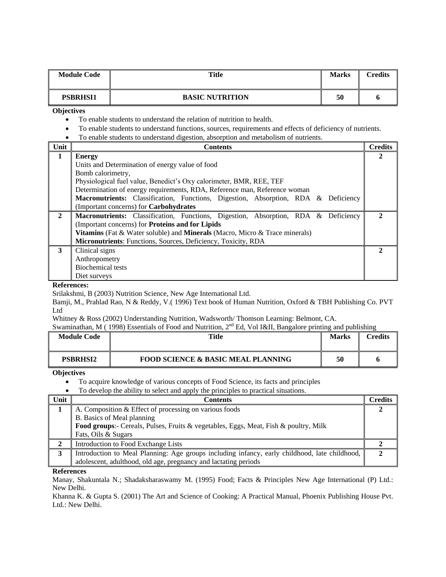| <b>Module Code</b> | Title                  | <b>Marks</b> | Credits |
|--------------------|------------------------|--------------|---------|
| <b>PSBRHSI1</b>    | <b>BASIC NUTRITION</b> | 50           | o       |

**Objectives**

- To enable students to understand the relation of nutrition to health.
- To enable students to understand functions, sources, requirements and effects of deficiency of nutrients.
- To enable students to understand digestion, absorption and metabolism of nutrients.

| Unit         | <b>Contents</b>                                                                    | <b>Credits</b> |  |  |  |
|--------------|------------------------------------------------------------------------------------|----------------|--|--|--|
| $\mathbf{1}$ | <b>Energy</b>                                                                      |                |  |  |  |
|              | Units and Determination of energy value of food                                    |                |  |  |  |
|              | Bomb calorimetry,                                                                  |                |  |  |  |
|              | Physiological fuel value, Benedict's Oxy calorimeter, BMR, REE, TEF                |                |  |  |  |
|              | Determination of energy requirements, RDA, Reference man, Reference woman          |                |  |  |  |
|              | Macronutrients: Classification, Functions, Digestion, Absorption, RDA & Deficiency |                |  |  |  |
|              | (Important concerns) for Carbohydrates                                             |                |  |  |  |
| $\mathbf{2}$ | Macronutrients: Classification, Functions, Digestion, Absorption, RDA & Deficiency |                |  |  |  |
|              | (Important concerns) for Proteins and for Lipids                                   |                |  |  |  |
|              | Vitamins (Fat & Water soluble) and Minerals (Macro, Micro & Trace minerals)        |                |  |  |  |
|              | Micronutrients: Functions, Sources, Deficiency, Toxicity, RDA                      |                |  |  |  |
| 3            | Clinical signs                                                                     |                |  |  |  |
|              | Anthropometry                                                                      |                |  |  |  |
|              | <b>Biochemical tests</b>                                                           |                |  |  |  |
|              | Diet surveys                                                                       |                |  |  |  |

#### **References:**

Srilakshmi, B (2003) Nutrition Science, New Age International Ltd.

Bamji, M., Prahlad Rao, N & Reddy, V.( 1996) Text book of Human Nutrition, Oxford & TBH Publishing Co. PVT Ltd

Whitney & Ross (2002) Understanding Nutrition, Wadsworth/ Thomson Learning: Belmont, CA.

Swaminathan, M (1998) Essentials of Food and Nutrition, 2<sup>nd</sup> Ed, Vol I&II, Bangalore printing and publishing

| <b>Module Code</b> | Title                                         | <b>Marks</b> | Credits |
|--------------------|-----------------------------------------------|--------------|---------|
| <b>PSBRHSI2</b>    | <b>FOOD SCIENCE &amp; BASIC MEAL PLANNING</b> | 50           |         |

**Objectives**

To acquire knowledge of various concepts of Food Science, its facts and principles

• To develop the ability to select and apply the principles to practical situations.

| Unit | Contents                                                                                      | <b>Credits</b> |
|------|-----------------------------------------------------------------------------------------------|----------------|
|      | A. Composition & Effect of processing on various foods                                        |                |
|      | B. Basics of Meal planning                                                                    |                |
|      | <b>Food groups:</b> - Cereals, Pulses, Fruits & vegetables, Eggs, Meat, Fish & poultry, Milk  |                |
|      | Fats, Oils & Sugars                                                                           |                |
|      | Introduction to Food Exchange Lists                                                           |                |
|      | Introduction to Meal Planning: Age groups including infancy, early childhood, late childhood, |                |
|      | adolescent, adulthood, old age, pregnancy and lactating periods                               |                |

**References**

Manay, Shakuntala N.; Shadaksharaswamy M. (1995) Food; Facts & Principles New Age International (P) Ltd.: New Delhi.

Khanna K. & Gupta S. (2001) The Art and Science of Cooking: A Practical Manual, Phoenix Publishing House Pvt. Ltd.: New Delhi.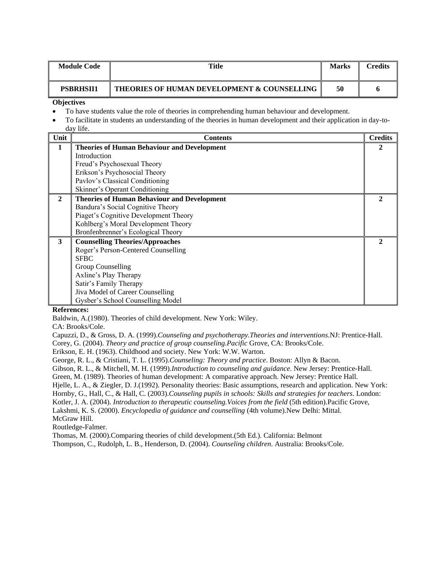| <b>Module Code</b>                                                                                                                         | Title                                       | <b>Marks</b> | <b>Credits</b> |  |
|--------------------------------------------------------------------------------------------------------------------------------------------|---------------------------------------------|--------------|----------------|--|
| <b>PSBRHSII1</b>                                                                                                                           | THEORIES OF HUMAN DEVELOPMENT & COUNSELLING | 50           |                |  |
| <b>Objectives</b>                                                                                                                          |                                             |              |                |  |
| To have students value the role of theories in comprehending human behaviour and development.<br>$\bullet$                                 |                                             |              |                |  |
| To facilitate in students an understanding of the theories in human development and their application in day-to-<br>$\bullet$<br>$1 - 12C$ |                                             |              |                |  |

|              | aav me.                                            |                |
|--------------|----------------------------------------------------|----------------|
| Unit         | Contents                                           | <b>Credits</b> |
| $\mathbf{1}$ | <b>Theories of Human Behaviour and Development</b> | 2              |
|              | Introduction                                       |                |
|              | Freud's Psychosexual Theory                        |                |
|              | Erikson's Psychosocial Theory                      |                |
|              | Pavlov's Classical Conditioning                    |                |
|              | Skinner's Operant Conditioning                     |                |
| $\mathbf{2}$ | <b>Theories of Human Behaviour and Development</b> |                |
|              | Bandura's Social Cognitive Theory                  |                |
|              | Piaget's Cognitive Development Theory              |                |
|              | Kohlberg's Moral Development Theory                |                |
|              | Bronfenbrenner's Ecological Theory                 |                |
| 3            | <b>Counselling Theories/Approaches</b>             |                |
|              | Roger's Person-Centered Counselling                |                |
|              | <b>SFBC</b>                                        |                |
|              | Group Counselling                                  |                |
|              | Axline's Play Therapy                              |                |
|              | Satir's Family Therapy                             |                |
|              | Jiva Model of Career Counselling                   |                |
|              | Gysber's School Counselling Model                  |                |

#### **References:**

Baldwin, A.(1980). Theories of child development. New York: Wiley.

CA: Brooks/Cole.

Capuzzi, D., & Gross, D. A. (1999).*Counseling and psychotherapy.Theories and interventions*.NJ: Prentice-Hall. Corey, G. (2004). *Theory and practice of group counseling.Pacific* Grove, CA: Brooks/Cole.

Erikson, E. H. (1963). Childhood and society. New York: W.W. Warton.

George, R. L., & Cristiani, T. L. (1995).*Counseling: Theory and practice*. Boston: Allyn & Bacon.

Gibson, R. L., & Mitchell, M. H. (1999).*Introduction to counseling and guidance*. New Jersey: Prentice-Hall.

Green, M. (1989). Theories of human development: A comparative approach. New Jersey: Prentice Hall.

Hjelle, L. A., & Ziegler, D. J.(1992). Personality theories: Basic assumptions, research and application. New York:

Hornby, G., Hall, C., & Hall, C. (2003).*Counseling pupils in schools: Skills and strategies for teachers*. London:

Kotler, J. A. (2004). *Introduction to therapeutic counseling.Voices from the field* (5th edition).Pacific Grove,

Lakshmi, K. S. (2000). *Encyclopedia of guidance and counselling* (4th volume).New Delhi: Mittal. McGraw Hill.

Routledge-Falmer.

Thomas, M. (2000).Comparing theories of child development.(5th Ed.). California: Belmont

Thompson, C., Rudolph, L. B., Henderson, D. (2004). *Counseling children*. Australia: Brooks/Cole.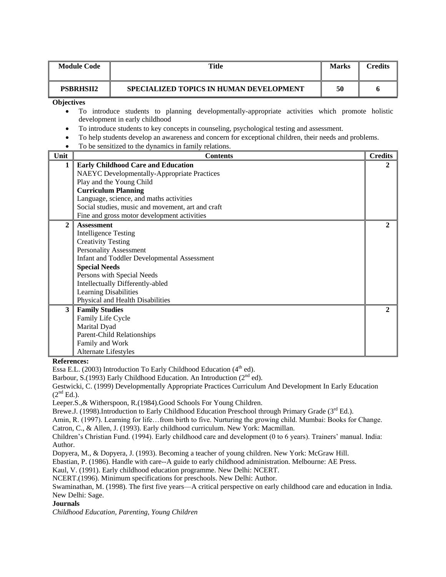|                   | <b>Module Code</b><br><b>Title</b><br><b>Marks</b>                                               |                                                                                                       | <b>Credits</b> |                |
|-------------------|--------------------------------------------------------------------------------------------------|-------------------------------------------------------------------------------------------------------|----------------|----------------|
|                   | <b>PSBRHSII2</b>                                                                                 | SPECIALIZED TOPICS IN HUMAN DEVELOPMENT                                                               | 50             | 6              |
| <b>Objectives</b> |                                                                                                  | To introduce students to planning developmentally-appropriate activities which promote holistic       |                |                |
|                   |                                                                                                  | development in early childhood                                                                        |                |                |
| $\bullet$         |                                                                                                  | To introduce students to key concepts in counseling, psychological testing and assessment.            |                |                |
|                   |                                                                                                  | To help students develop an awareness and concern for exceptional children, their needs and problems. |                |                |
| ٠                 |                                                                                                  | To be sensitized to the dynamics in family relations.                                                 |                |                |
| Unit              |                                                                                                  | <b>Contents</b>                                                                                       |                | <b>Credits</b> |
| 1                 |                                                                                                  | <b>Early Childhood Care and Education</b>                                                             |                | 2              |
|                   |                                                                                                  | <b>NAEYC</b> Developmentally-Appropriate Practices                                                    |                |                |
|                   |                                                                                                  | Play and the Young Child                                                                              |                |                |
|                   |                                                                                                  | <b>Curriculum Planning</b>                                                                            |                |                |
|                   |                                                                                                  | Language, science, and maths activities                                                               |                |                |
|                   | Social studies, music and movement, art and craft<br>Fine and gross motor development activities |                                                                                                       |                |                |
| $\mathbf{2}$      | <b>Assessment</b>                                                                                |                                                                                                       |                | $\mathbf{2}$   |
|                   | <b>Intelligence Testing</b>                                                                      |                                                                                                       |                |                |
|                   | <b>Creativity Testing</b>                                                                        |                                                                                                       |                |                |
|                   |                                                                                                  | <b>Personality Assessment</b>                                                                         |                |                |
|                   |                                                                                                  | Infant and Toddler Developmental Assessment                                                           |                |                |
|                   | <b>Special Needs</b>                                                                             |                                                                                                       |                |                |
|                   |                                                                                                  | Persons with Special Needs                                                                            |                |                |
|                   |                                                                                                  | Intellectually Differently-abled                                                                      |                |                |
|                   | Learning Disabilities                                                                            |                                                                                                       |                |                |
|                   |                                                                                                  | Physical and Health Disabilities                                                                      |                |                |
| 3                 | <b>Family Studies</b><br>Family Life Cycle                                                       |                                                                                                       |                | $\mathbf{2}$   |
|                   | Marital Dyad                                                                                     |                                                                                                       |                |                |
|                   |                                                                                                  | <b>Parent-Child Relationships</b>                                                                     |                |                |
|                   | Family and Work                                                                                  |                                                                                                       |                |                |
|                   | Alternate Lifestyles                                                                             |                                                                                                       |                |                |

**References:**

Essa E.L. (2003) Introduction To Early Childhood Education (4<sup>th</sup> ed).

Barbour, S.(1993) Early Childhood Education. An Introduction (2<sup>nd</sup> ed).

Gestwicki, C. (1999) Developmentally Appropriate Practices Curriculum And Development In Early Education  $(2<sup>nd</sup> Ed.).$ 

Leeper.S.,& Witherspoon, R.(1984).Good Schools For Young Children.

Brewe.J. (1998).Introduction to Early Childhood Education Preschool through Primary Grade (3<sup>rd</sup> Ed.).

Amin, R. (1997). Learning for life…from birth to five. Nurturing the growing child. Mumbai: Books for Change.

Catron, C., & Allen, J. (1993). Early childhood curriculum. New York: Macmillan.

Dopyera, M., & Dopyera, J. (1993). Becoming a teacher of young children. New York: McGraw Hill.

Ebastian, P. (1986). Handle with care--A guide to early childhood administration. Melbourne: AE Press.

Kaul, V. (1991). Early childhood education programme. New Delhi: NCERT.

NCERT.(1996). Minimum specifications for preschools. New Delhi: Author.

Swaminathan, M. (1998). The first five years—A critical perspective on early childhood care and education in India. New Delhi: Sage.

#### **Journals**

*Childhood Education, Parenting, Young Children*

Children's Christian Fund. (1994). Early childhood care and development (0 to 6 years). Trainers' manual. India: Author.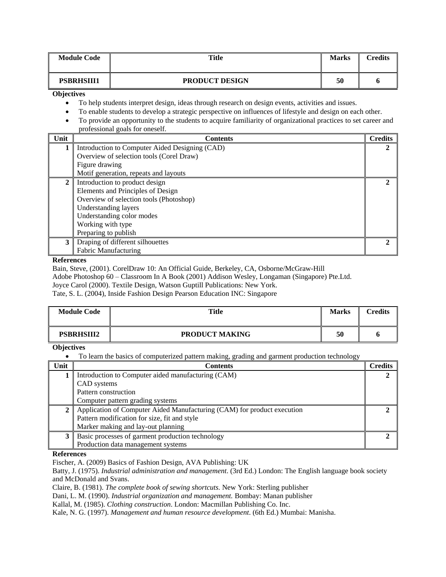|                                                                                                                     | <b>Module Code</b>                                                                                         | Title                                                                                              | <b>Marks</b> | <b>Credits</b> |
|---------------------------------------------------------------------------------------------------------------------|------------------------------------------------------------------------------------------------------------|----------------------------------------------------------------------------------------------------|--------------|----------------|
| <b>PSBRHSIII1</b>                                                                                                   |                                                                                                            | <b>PRODUCT DESIGN</b>                                                                              | 50           | ō              |
| <b>Objectives</b>                                                                                                   |                                                                                                            |                                                                                                    |              |                |
|                                                                                                                     |                                                                                                            | To help students interpret design, ideas through research on design events, activities and issues. |              |                |
|                                                                                                                     | To enable students to develop a strategic perspective on influences of lifestyle and design on each other. |                                                                                                    |              |                |
| To provide an opportunity to the students to acquire familiarity of organizational practices to set career and<br>٠ |                                                                                                            |                                                                                                    |              |                |
|                                                                                                                     |                                                                                                            | professional goals for oneself.                                                                    |              |                |
| Unit                                                                                                                |                                                                                                            | <b>Contents</b>                                                                                    |              | <b>Credits</b> |
|                                                                                                                     |                                                                                                            | Introduction to Computer Aided Designing (CAD)                                                     |              | $\mathbf{2}$   |
|                                                                                                                     |                                                                                                            | Overview of selection tools (Corel Draw)                                                           |              |                |
|                                                                                                                     | Figure drawing                                                                                             |                                                                                                    |              |                |
|                                                                                                                     |                                                                                                            | Motif generation, repeats and layouts                                                              |              |                |
| $\overline{\phantom{a}}$                                                                                            |                                                                                                            | $\mathbf{r}$ , and $\mathbf{r}$ , and $\mathbf{r}$                                                 |              |                |

| Unit | <b>Contents</b>                                | <b>Credits</b> |
|------|------------------------------------------------|----------------|
|      | Introduction to Computer Aided Designing (CAD) |                |
|      | Overview of selection tools (Corel Draw)       |                |
|      | Figure drawing                                 |                |
|      | Motif generation, repeats and layouts          |                |
|      | Introduction to product design                 |                |
|      | Elements and Principles of Design              |                |
|      | Overview of selection tools (Photoshop)        |                |
|      | Understanding layers                           |                |
|      | Understanding color modes                      |                |
|      | Working with type                              |                |
|      | Preparing to publish                           |                |
| 3    | Draping of different silhouettes               |                |
|      | <b>Fabric Manufacturing</b>                    |                |

# **References**

Bain, Steve, (2001). CorelDraw 10: An Official Guide, Berkeley, CA, Osborne/McGraw-Hill

Adobe Photoshop 60 – Classroom In A Book (2001) Addison Wesley, Longaman (Singapore) Pte.Ltd.

Joyce Carol (2000). Textile Design, Watson Guptill Publications: New York.

Tate, S. L. (2004), Inside Fashion Design Pearson Education INC: Singapore

| <b>Module Code</b> | Title                 | <b>Marks</b> | `redits |
|--------------------|-----------------------|--------------|---------|
| <b>PSBRHSIII2</b>  | <b>PRODUCT MAKING</b> | 50           |         |

**Objectives**

To learn the basics of computerized pattern making, grading and garment production technology

| Unit | <b>Contents</b>                                                         | <b>Credits</b> |
|------|-------------------------------------------------------------------------|----------------|
|      | Introduction to Computer aided manufacturing (CAM)                      |                |
|      | CAD systems                                                             |                |
|      | Pattern construction                                                    |                |
|      | Computer pattern grading systems                                        |                |
|      | Application of Computer Aided Manufacturing (CAM) for product execution |                |
|      | Pattern modification for size, fit and style                            |                |
|      | Marker making and lay-out planning                                      |                |
|      | Basic processes of garment production technology                        |                |
|      | Production data management systems                                      |                |

**References**

Fischer, A. (2009) Basics of Fashion Design, AVA Publishing: UK

Batty, J. (1975). *Industrial administration and management*. (3rd Ed.) London: The English language book society and McDonald and Svans.

Claire, B. (1981). *The complete book of sewing shortcuts.* New York: Sterling publisher

Dani, L. M. (1990). *Industrial organization and management.* Bombay: Manan publisher

Kallal, M. (1985). *Clothing construction*. London: Macmillan Publishing Co. Inc.

Kale, N. G. (1997). *Management and human resource development*. (6th Ed.) Mumbai: Manisha.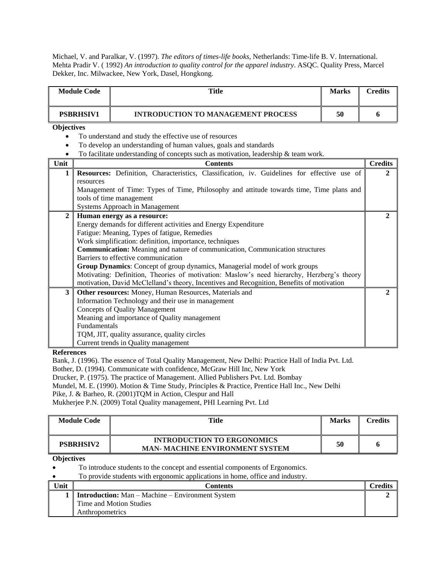Michael, V. and Paralkar, V. (1997). *The editors of times-life books,* Netherlands: Time-life B. V. International. Mehta Pradir V. ( 1992) *An introduction to quality control for the apparel industry*. ASQC. Quality Press, Marcel Dekker, Inc. Milwackee, New York, Dasel, Hongkong.

| <b>INTRODUCTION TO MANAGEMENT PROCESS</b><br><b>PSBRHSIV1</b><br>50<br><b>Objectives</b><br>To understand and study the effective use of resources<br>To develop an understanding of human values, goals and standards<br>To facilitate understanding of concepts such as motivation, leadership $\&$ team work.<br>Unit<br><b>Contents</b><br>Resources: Definition, Characteristics, Classification, iv. Guidelines for effective use of<br>1<br>resources<br>Management of Time: Types of Time, Philosophy and attitude towards time, Time plans and<br>tools of time management | <b>Credits</b> |
|-------------------------------------------------------------------------------------------------------------------------------------------------------------------------------------------------------------------------------------------------------------------------------------------------------------------------------------------------------------------------------------------------------------------------------------------------------------------------------------------------------------------------------------------------------------------------------------|----------------|
|                                                                                                                                                                                                                                                                                                                                                                                                                                                                                                                                                                                     | 6              |
|                                                                                                                                                                                                                                                                                                                                                                                                                                                                                                                                                                                     |                |
|                                                                                                                                                                                                                                                                                                                                                                                                                                                                                                                                                                                     |                |
|                                                                                                                                                                                                                                                                                                                                                                                                                                                                                                                                                                                     |                |
|                                                                                                                                                                                                                                                                                                                                                                                                                                                                                                                                                                                     |                |
|                                                                                                                                                                                                                                                                                                                                                                                                                                                                                                                                                                                     | <b>Credits</b> |
|                                                                                                                                                                                                                                                                                                                                                                                                                                                                                                                                                                                     | $\mathbf{2}$   |
|                                                                                                                                                                                                                                                                                                                                                                                                                                                                                                                                                                                     |                |
|                                                                                                                                                                                                                                                                                                                                                                                                                                                                                                                                                                                     |                |
|                                                                                                                                                                                                                                                                                                                                                                                                                                                                                                                                                                                     |                |
| Systems Approach in Management                                                                                                                                                                                                                                                                                                                                                                                                                                                                                                                                                      |                |
| $\mathbf{2}$<br>Human energy as a resource:                                                                                                                                                                                                                                                                                                                                                                                                                                                                                                                                         | $\mathbf{2}$   |
| Energy demands for different activities and Energy Expenditure                                                                                                                                                                                                                                                                                                                                                                                                                                                                                                                      |                |
| Fatigue: Meaning, Types of fatigue, Remedies                                                                                                                                                                                                                                                                                                                                                                                                                                                                                                                                        |                |
| Work simplification: definition, importance, techniques                                                                                                                                                                                                                                                                                                                                                                                                                                                                                                                             |                |
| <b>Communication:</b> Meaning and nature of communication, Communication structures                                                                                                                                                                                                                                                                                                                                                                                                                                                                                                 |                |
| Barriers to effective communication                                                                                                                                                                                                                                                                                                                                                                                                                                                                                                                                                 |                |
| Group Dynamics: Concept of group dynamics, Managerial model of work groups                                                                                                                                                                                                                                                                                                                                                                                                                                                                                                          |                |
| Motivating: Definition, Theories of motivation: Maslow's need hierarchy, Herzberg's theory                                                                                                                                                                                                                                                                                                                                                                                                                                                                                          |                |
| motivation, David McClelland's theory, Incentives and Recognition, Benefits of motivation                                                                                                                                                                                                                                                                                                                                                                                                                                                                                           |                |
| Other resources: Money, Human Resources, Materials and<br>3                                                                                                                                                                                                                                                                                                                                                                                                                                                                                                                         | 2              |
| Information Technology and their use in management                                                                                                                                                                                                                                                                                                                                                                                                                                                                                                                                  |                |
| <b>Concepts of Quality Management</b>                                                                                                                                                                                                                                                                                                                                                                                                                                                                                                                                               |                |
| Meaning and importance of Quality management                                                                                                                                                                                                                                                                                                                                                                                                                                                                                                                                        |                |
| Fundamentals                                                                                                                                                                                                                                                                                                                                                                                                                                                                                                                                                                        |                |
| TQM, JIT, quality assurance, quality circles                                                                                                                                                                                                                                                                                                                                                                                                                                                                                                                                        |                |
| Current trends in Quality management                                                                                                                                                                                                                                                                                                                                                                                                                                                                                                                                                |                |

**References** 

Bank, J. (1996). The essence of Total Quality Management, New Delhi: Practice Hall of India Pvt. Ltd.

Bother, D. (1994). Communicate with confidence, McGraw Hill Inc, New York

Drucker, P. (1975). The practice of Management. Allied Publishers Pvt. Ltd. Bombay

Mundel, M. E. (1990). Motion & Time Study, Principles & Practice, Prentice Hall Inc., New Delhi

Pike, J. & Barheo, R. (2001)TQM in Action, Clespur and Hall

Mukherjee P.N. (2009) Total Quality management, PHI Learning Pvt. Ltd

| <b>Module Code</b> | Title                                                                       | <b>Marks</b> | Credits |
|--------------------|-----------------------------------------------------------------------------|--------------|---------|
| <b>PSBRHSIV2</b>   | <b>INTRODUCTION TO ERGONOMICS</b><br><b>MAN- MACHINE ENVIRONMENT SYSTEM</b> | 50           |         |

# **Objectives**

To introduce students to the concept and essential components of Ergonomics.

To provide students with ergonomic applications in home, office and industry.

| Unit | Contents                                                | `redits |
|------|---------------------------------------------------------|---------|
|      | <b>Introduction:</b> Man – Machine – Environment System |         |
|      | Time and Motion Studies                                 |         |
|      | Anthropometrics                                         |         |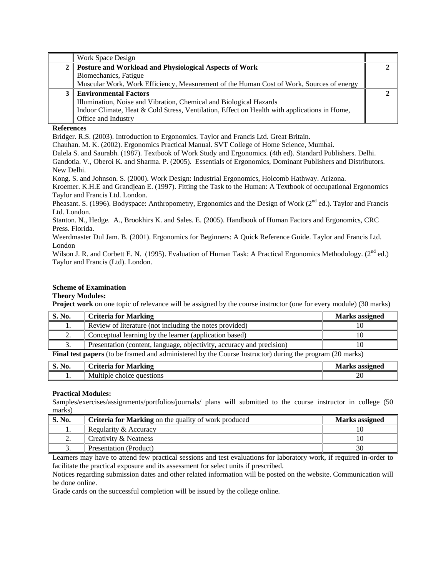| Work Space Design                                                                            |  |
|----------------------------------------------------------------------------------------------|--|
| 2   Posture and Workload and Physiological Aspects of Work                                   |  |
| Biomechanics, Fatigue                                                                        |  |
| Muscular Work, Work Efficiency, Measurement of the Human Cost of Work, Sources of energy     |  |
| <b>Environmental Factors</b>                                                                 |  |
| Illumination, Noise and Vibration, Chemical and Biological Hazards                           |  |
| Indoor Climate, Heat & Cold Stress, Ventilation, Effect on Health with applications in Home, |  |
| Office and Industry                                                                          |  |

# **References**

Bridger. R.S. (2003). Introduction to Ergonomics. Taylor and Francis Ltd. Great Britain.

Chauhan. M. K. (2002). Ergonomics Practical Manual. SVT College of Home Science, Mumbai.

Dalela S. and Saurabh. (1987). Textbook of Work Study and Ergonomics. (4th ed). Standard Publishers. Delhi.

Gandotia. V., Oberoi K. and Sharma. P. (2005). Essentials of Ergonomics, Dominant Publishers and Distributors. New Delhi.

Kong. S. and Johnson. S. (2000). Work Design: Industrial Ergonomics, Holcomb Hathway. Arizona.

Kroemer. K.H.E and Grandjean E. (1997). Fitting the Task to the Human: A Textbook of occupational Ergonomics Taylor and Francis Ltd. London.

Pheasant. S. (1996). Bodyspace: Anthropometry, Ergonomics and the Design of Work ( $2<sup>nd</sup>$  ed.). Taylor and Francis Ltd. London.

Stanton. N., Hedge. A., Brookhirs K. and Sales. E. (2005). Handbook of Human Factors and Ergonomics, CRC Press. Florida.

Weerdmaster Dul Jam. B. (2001). Ergonomics for Beginners: A Quick Reference Guide. Taylor and Francis Ltd. London

Wilson J. R. and Corbett E. N. (1995). Evaluation of Human Task: A Practical Ergonomics Methodology.  $(2^{nd}$  ed.) Taylor and Francis (Ltd). London.

### **Scheme of Examination**

# **Theory Modules:**

**Project work** on one topic of relevance will be assigned by the course instructor (one for every module) (30 marks)

| S. No.   | <b>Criteria for Marking</b>                                           | <b>Marks</b> assigned |
|----------|-----------------------------------------------------------------------|-----------------------|
| . .      | Review of literature (not including the notes provided)               |                       |
| <u>.</u> | Conceptual learning by the learner (application based)                |                       |
|          | Presentation (content, language, objectivity, accuracy and precision) |                       |
|          |                                                                       | $\sim$ $\sim$         |

**Final test papers** (to be framed and administered by the Course Instructor) during the program (20 marks)

| No.<br>$\sim$<br>v. | riteria:<br>Marking<br>tor      | assigned<br>Marks                                       |
|---------------------|---------------------------------|---------------------------------------------------------|
| . .                 | questions<br>Multiple<br>choice | $\Delta$<br>$\sim$<br>and the control of the control of |

#### **Practical Modules:**

Samples/exercises/assignments/portfolios/journals/ plans will submitted to the course instructor in college (50 marks)

| S. No.   | <b>Criteria for Marking</b> on the quality of work produced | <b>Marks assigned</b> |
|----------|-------------------------------------------------------------|-----------------------|
|          | Regularity & Accuracy                                       |                       |
| <u>.</u> | Creativity & Neatness                                       |                       |
|          | Presentation (Product)                                      |                       |

Learners may have to attend few practical sessions and test evaluations for laboratory work, if required in-order to facilitate the practical exposure and its assessment for select units if prescribed.

Notices regarding submission dates and other related information will be posted on the website. Communication will be done online.

Grade cards on the successful completion will be issued by the college online.